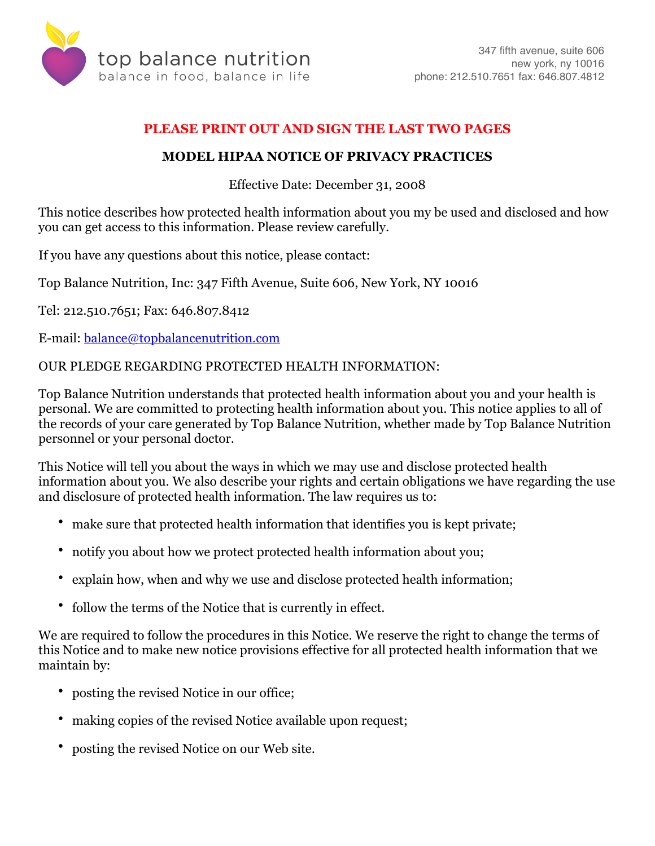

# **PLEASE PRINT OUT AND SIGN THE LAST TWO PAGES**

## **MODEL HIPAA NOTICE OF PRIVACY PRACTICES**

Effective Date: December 31, 2008

This notice describes how protected health information about you my be used and disclosed and how you can get access to this information. Please review carefully.

If you have any questions about this notice, please contact:

Top Balance Nutrition, Inc: 347 Fifth Avenue, Suite 606, New York, NY 10016

Tel: 212.510.7651; Fax: 646.807.8412

E-mail: [balance@topbalancenutrition.com](mailto:balance@topbalancenutrition.com)

### OUR PLEDGE REGARDING PROTECTED HEALTH INFORMATION:

Top Balance Nutrition understands that protected health information about you and your health is personal. We are committed to protecting health information about you. This notice applies to all of the records of your care generated by Top Balance Nutrition, whether made by Top Balance Nutrition personnel or your personal doctor.

This Notice will tell you about the ways in which we may use and disclose protected health information about you. We also describe your rights and certain obligations we have regarding the use and disclosure of protected health information. The law requires us to:

- make sure that protected health information that identifies you is kept private;
- notify you about how we protect protected health information about you;
- explain how, when and why we use and disclose protected health information;
- follow the terms of the Notice that is currently in effect.

We are required to follow the procedures in this Notice. We reserve the right to change the terms of this Notice and to make new notice provisions effective for all protected health information that we maintain by:

- posting the revised Notice in our office;
- making copies of the revised Notice available upon request;
- posting the revised Notice on our Web site.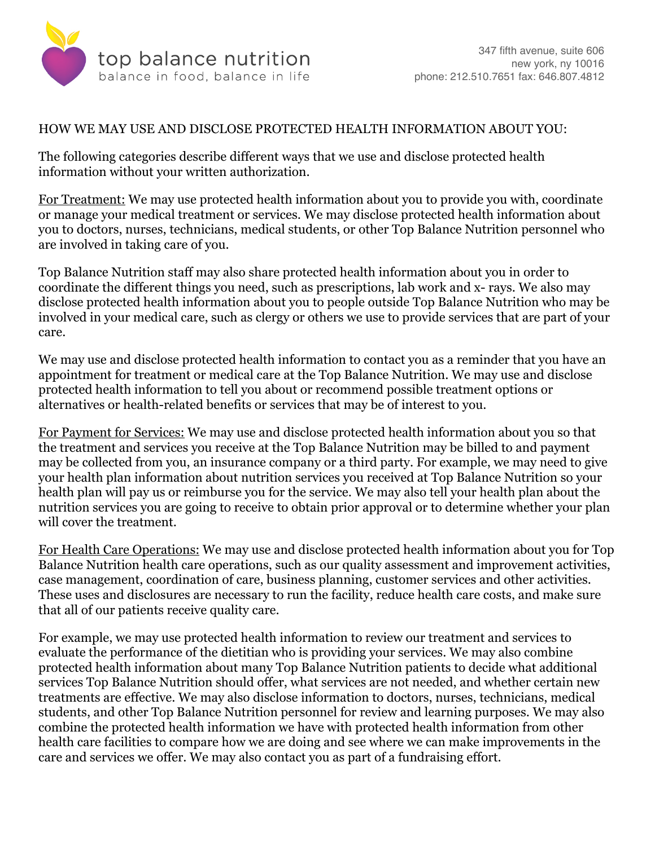

#### HOW WE MAY USE AND DISCLOSE PROTECTED HEALTH INFORMATION ABOUT YOU:

The following categories describe different ways that we use and disclose protected health information without your written authorization.

For Treatment: We may use protected health information about you to provide you with, coordinate or manage your medical treatment or services. We may disclose protected health information about you to doctors, nurses, technicians, medical students, or other Top Balance Nutrition personnel who are involved in taking care of you.

Top Balance Nutrition staff may also share protected health information about you in order to coordinate the different things you need, such as prescriptions, lab work and x- rays. We also may disclose protected health information about you to people outside Top Balance Nutrition who may be involved in your medical care, such as clergy or others we use to provide services that are part of your care.

We may use and disclose protected health information to contact you as a reminder that you have an appointment for treatment or medical care at the Top Balance Nutrition. We may use and disclose protected health information to tell you about or recommend possible treatment options or alternatives or health-related benefits or services that may be of interest to you.

For Payment for Services: We may use and disclose protected health information about you so that the treatment and services you receive at the Top Balance Nutrition may be billed to and payment may be collected from you, an insurance company or a third party. For example, we may need to give your health plan information about nutrition services you received at Top Balance Nutrition so your health plan will pay us or reimburse you for the service. We may also tell your health plan about the nutrition services you are going to receive to obtain prior approval or to determine whether your plan will cover the treatment.

For Health Care Operations: We may use and disclose protected health information about you for Top Balance Nutrition health care operations, such as our quality assessment and improvement activities, case management, coordination of care, business planning, customer services and other activities. These uses and disclosures are necessary to run the facility, reduce health care costs, and make sure that all of our patients receive quality care.

For example, we may use protected health information to review our treatment and services to evaluate the performance of the dietitian who is providing your services. We may also combine protected health information about many Top Balance Nutrition patients to decide what additional services Top Balance Nutrition should offer, what services are not needed, and whether certain new treatments are effective. We may also disclose information to doctors, nurses, technicians, medical students, and other Top Balance Nutrition personnel for review and learning purposes. We may also combine the protected health information we have with protected health information from other health care facilities to compare how we are doing and see where we can make improvements in the care and services we offer. We may also contact you as part of a fundraising effort.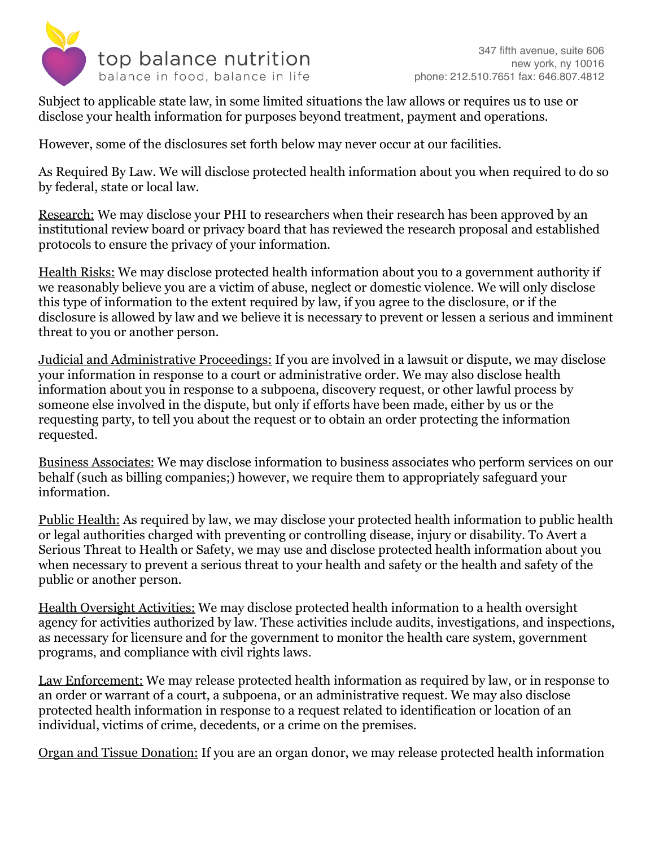

Subject to applicable state law, in some limited situations the law allows or requires us to use or disclose your health information for purposes beyond treatment, payment and operations.

However, some of the disclosures set forth below may never occur at our facilities.

As Required By Law. We will disclose protected health information about you when required to do so by federal, state or local law.

Research: We may disclose your PHI to researchers when their research has been approved by an institutional review board or privacy board that has reviewed the research proposal and established protocols to ensure the privacy of your information.

Health Risks: We may disclose protected health information about you to a government authority if we reasonably believe you are a victim of abuse, neglect or domestic violence. We will only disclose this type of information to the extent required by law, if you agree to the disclosure, or if the disclosure is allowed by law and we believe it is necessary to prevent or lessen a serious and imminent threat to you or another person.

Judicial and Administrative Proceedings: If you are involved in a lawsuit or dispute, we may disclose your information in response to a court or administrative order. We may also disclose health information about you in response to a subpoena, discovery request, or other lawful process by someone else involved in the dispute, but only if efforts have been made, either by us or the requesting party, to tell you about the request or to obtain an order protecting the information requested.

Business Associates: We may disclose information to business associates who perform services on our behalf (such as billing companies;) however, we require them to appropriately safeguard your information.

Public Health: As required by law, we may disclose your protected health information to public health or legal authorities charged with preventing or controlling disease, injury or disability. To Avert a Serious Threat to Health or Safety, we may use and disclose protected health information about you when necessary to prevent a serious threat to your health and safety or the health and safety of the public or another person.

Health Oversight Activities: We may disclose protected health information to a health oversight agency for activities authorized by law. These activities include audits, investigations, and inspections, as necessary for licensure and for the government to monitor the health care system, government programs, and compliance with civil rights laws.

Law Enforcement: We may release protected health information as required by law, or in response to an order or warrant of a court, a subpoena, or an administrative request. We may also disclose protected health information in response to a request related to identification or location of an individual, victims of crime, decedents, or a crime on the premises.

Organ and Tissue Donation: If you are an organ donor, we may release protected health information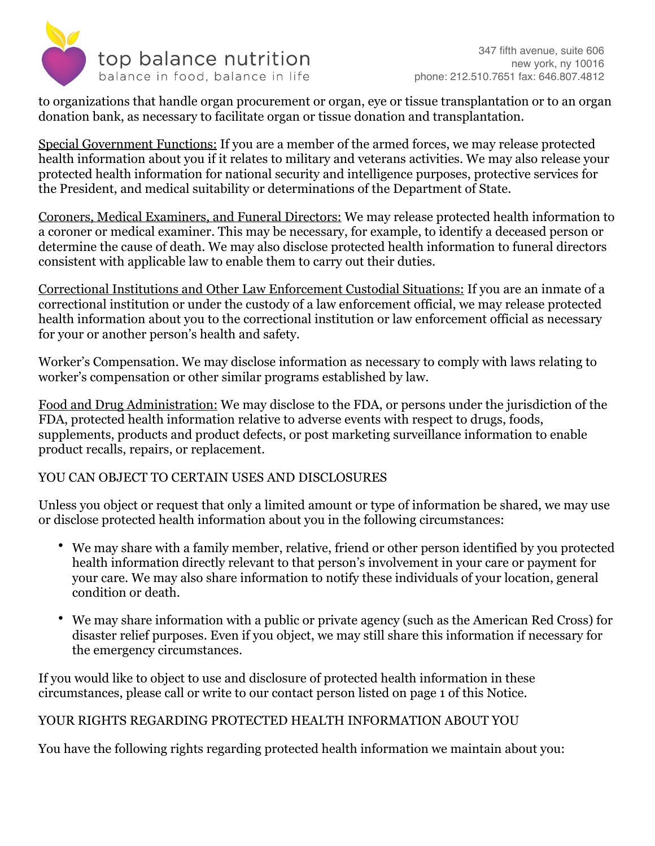

to organizations that handle organ procurement or organ, eye or tissue transplantation or to an organ donation bank, as necessary to facilitate organ or tissue donation and transplantation.

Special Government Functions: If you are a member of the armed forces, we may release protected health information about you if it relates to military and veterans activities. We may also release your protected health information for national security and intelligence purposes, protective services for the President, and medical suitability or determinations of the Department of State.

Coroners, Medical Examiners, and Funeral Directors: We may release protected health information to a coroner or medical examiner. This may be necessary, for example, to identify a deceased person or determine the cause of death. We may also disclose protected health information to funeral directors consistent with applicable law to enable them to carry out their duties.

Correctional Institutions and Other Law Enforcement Custodial Situations: If you are an inmate of a correctional institution or under the custody of a law enforcement official, we may release protected health information about you to the correctional institution or law enforcement official as necessary for your or another person's health and safety.

Worker's Compensation. We may disclose information as necessary to comply with laws relating to worker's compensation or other similar programs established by law.

Food and Drug Administration: We may disclose to the FDA, or persons under the jurisdiction of the FDA, protected health information relative to adverse events with respect to drugs, foods, supplements, products and product defects, or post marketing surveillance information to enable product recalls, repairs, or replacement.

# YOU CAN OBJECT TO CERTAIN USES AND DISCLOSURES

Unless you object or request that only a limited amount or type of information be shared, we may use or disclose protected health information about you in the following circumstances:

- We may share with a family member, relative, friend or other person identified by you protected health information directly relevant to that person's involvement in your care or payment for your care. We may also share information to notify these individuals of your location, general condition or death.
- We may share information with a public or private agency (such as the American Red Cross) for disaster relief purposes. Even if you object, we may still share this information if necessary for the emergency circumstances.

If you would like to object to use and disclosure of protected health information in these circumstances, please call or write to our contact person listed on page 1 of this Notice.

# YOUR RIGHTS REGARDING PROTECTED HEALTH INFORMATION ABOUT YOU

You have the following rights regarding protected health information we maintain about you: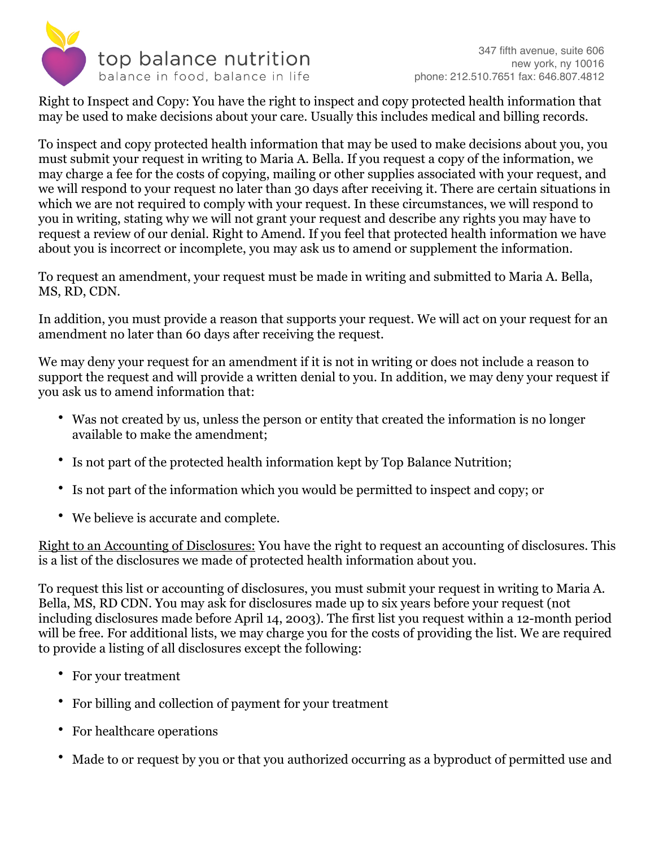

Right to Inspect and Copy: You have the right to inspect and copy protected health information that may be used to make decisions about your care. Usually this includes medical and billing records.

To inspect and copy protected health information that may be used to make decisions about you, you must submit your request in writing to Maria A. Bella. If you request a copy of the information, we may charge a fee for the costs of copying, mailing or other supplies associated with your request, and we will respond to your request no later than 30 days after receiving it. There are certain situations in which we are not required to comply with your request. In these circumstances, we will respond to you in writing, stating why we will not grant your request and describe any rights you may have to request a review of our denial. Right to Amend. If you feel that protected health information we have about you is incorrect or incomplete, you may ask us to amend or supplement the information.

To request an amendment, your request must be made in writing and submitted to Maria A. Bella, MS, RD, CDN.

In addition, you must provide a reason that supports your request. We will act on your request for an amendment no later than 60 days after receiving the request.

We may deny your request for an amendment if it is not in writing or does not include a reason to support the request and will provide a written denial to you. In addition, we may deny your request if you ask us to amend information that:

- Was not created by us, unless the person or entity that created the information is no longer available to make the amendment;
- Is not part of the protected health information kept by Top Balance Nutrition;
- Is not part of the information which you would be permitted to inspect and copy; or
- We believe is accurate and complete.

Right to an Accounting of Disclosures: You have the right to request an accounting of disclosures. This is a list of the disclosures we made of protected health information about you.

To request this list or accounting of disclosures, you must submit your request in writing to Maria A. Bella, MS, RD CDN. You may ask for disclosures made up to six years before your request (not including disclosures made before April 14, 2003). The first list you request within a 12-month period will be free. For additional lists, we may charge you for the costs of providing the list. We are required to provide a listing of all disclosures except the following:

- For your treatment
- For billing and collection of payment for your treatment
- For healthcare operations
- Made to or request by you or that you authorized occurring as a byproduct of permitted use and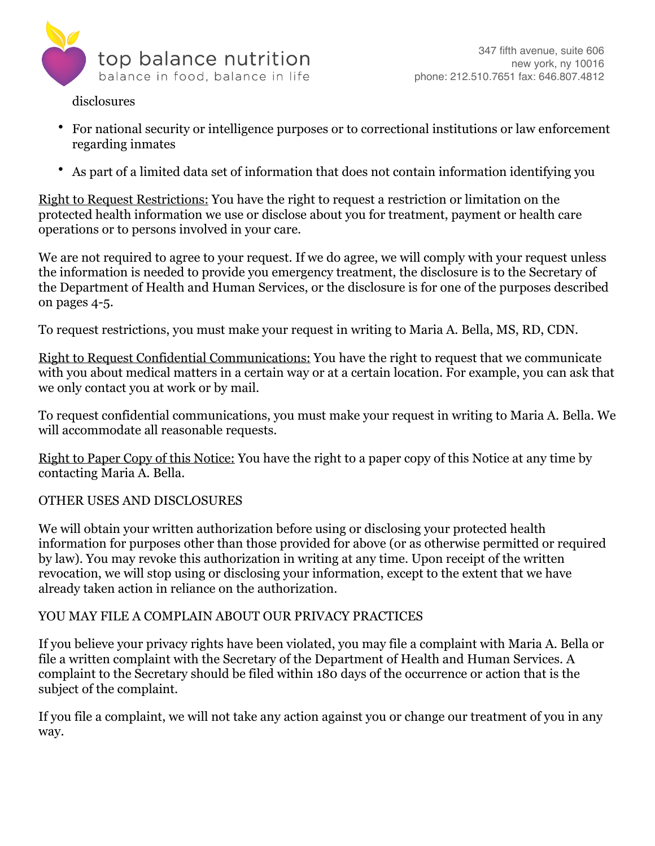

disclosures

- For national security or intelligence purposes or to correctional institutions or law enforcement regarding inmates
- As part of a limited data set of information that does not contain information identifying you

Right to Request Restrictions: You have the right to request a restriction or limitation on the protected health information we use or disclose about you for treatment, payment or health care operations or to persons involved in your care.

We are not required to agree to your request. If we do agree, we will comply with your request unless the information is needed to provide you emergency treatment, the disclosure is to the Secretary of the Department of Health and Human Services, or the disclosure is for one of the purposes described on pages 4-5.

To request restrictions, you must make your request in writing to Maria A. Bella, MS, RD, CDN.

Right to Request Confidential Communications: You have the right to request that we communicate with you about medical matters in a certain way or at a certain location. For example, you can ask that we only contact you at work or by mail.

To request confidential communications, you must make your request in writing to Maria A. Bella. We will accommodate all reasonable requests.

Right to Paper Copy of this Notice: You have the right to a paper copy of this Notice at any time by contacting Maria A. Bella.

#### OTHER USES AND DISCLOSURES

We will obtain your written authorization before using or disclosing your protected health information for purposes other than those provided for above (or as otherwise permitted or required by law). You may revoke this authorization in writing at any time. Upon receipt of the written revocation, we will stop using or disclosing your information, except to the extent that we have already taken action in reliance on the authorization.

#### YOU MAY FILE A COMPLAIN ABOUT OUR PRIVACY PRACTICES

If you believe your privacy rights have been violated, you may file a complaint with Maria A. Bella or file a written complaint with the Secretary of the Department of Health and Human Services. A complaint to the Secretary should be filed within 180 days of the occurrence or action that is the subject of the complaint.

If you file a complaint, we will not take any action against you or change our treatment of you in any way.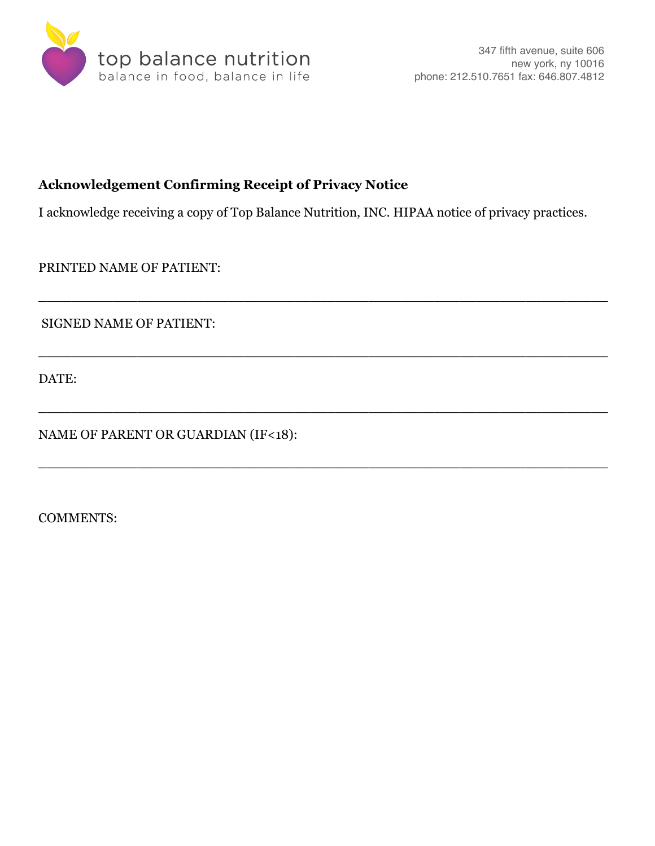

# **Acknowledgement Confirming Receipt of Privacy Notice**

I acknowledge receiving a copy of Top Balance Nutrition, INC. HIPAA notice of privacy practices.

\_\_\_\_\_\_\_\_\_\_\_\_\_\_\_\_\_\_\_\_\_\_\_\_\_\_\_\_\_\_\_\_\_\_\_\_\_\_\_\_\_\_\_\_\_\_\_\_\_\_\_\_\_\_\_\_\_\_\_\_\_\_\_\_\_\_\_\_\_

\_\_\_\_\_\_\_\_\_\_\_\_\_\_\_\_\_\_\_\_\_\_\_\_\_\_\_\_\_\_\_\_\_\_\_\_\_\_\_\_\_\_\_\_\_\_\_\_\_\_\_\_\_\_\_\_\_\_\_\_\_\_\_\_\_\_\_\_\_

\_\_\_\_\_\_\_\_\_\_\_\_\_\_\_\_\_\_\_\_\_\_\_\_\_\_\_\_\_\_\_\_\_\_\_\_\_\_\_\_\_\_\_\_\_\_\_\_\_\_\_\_\_\_\_\_\_\_\_\_\_\_\_\_\_\_\_\_\_

\_\_\_\_\_\_\_\_\_\_\_\_\_\_\_\_\_\_\_\_\_\_\_\_\_\_\_\_\_\_\_\_\_\_\_\_\_\_\_\_\_\_\_\_\_\_\_\_\_\_\_\_\_\_\_\_\_\_\_\_\_\_\_\_\_\_\_\_\_

PRINTED NAME OF PATIENT:

SIGNED NAME OF PATIENT:

DATE:

NAME OF PARENT OR GUARDIAN (IF<18):

COMMENTS: